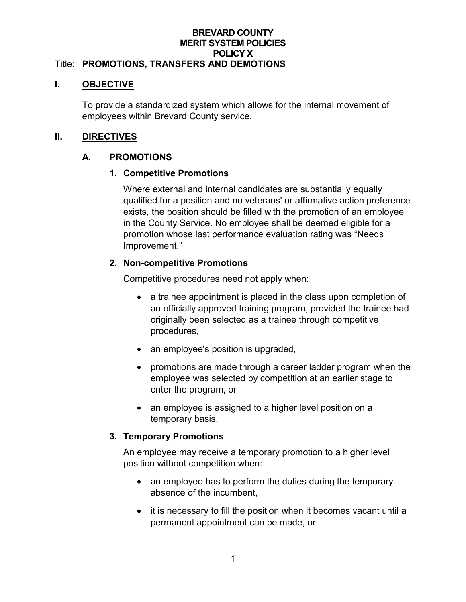#### **BREVARD COUNTY MERIT SYSTEM POLICIES POLICY X** Title: **PROMOTIONS, TRANSFERS AND DEMOTIONS**

#### **I. OBJECTIVE**

To provide a standardized system which allows for the internal movement of employees within Brevard County service.

## **II. DIRECTIVES**

## **A. PROMOTIONS**

### **1. Competitive Promotions**

Where external and internal candidates are substantially equally qualified for a position and no veterans' or affirmative action preference exists, the position should be filled with the promotion of an employee in the County Service. No employee shall be deemed eligible for a promotion whose last performance evaluation rating was "Needs Improvement."

### **2. Non-competitive Promotions**

Competitive procedures need not apply when:

- a trainee appointment is placed in the class upon completion of an officially approved training program, provided the trainee had originally been selected as a trainee through competitive procedures,
- an employee's position is upgraded,
- promotions are made through a career ladder program when the employee was selected by competition at an earlier stage to enter the program, or
- an employee is assigned to a higher level position on a temporary basis.

#### **3. Temporary Promotions**

An employee may receive a temporary promotion to a higher level position without competition when:

- an employee has to perform the duties during the temporary absence of the incumbent,
- it is necessary to fill the position when it becomes vacant until a permanent appointment can be made, or